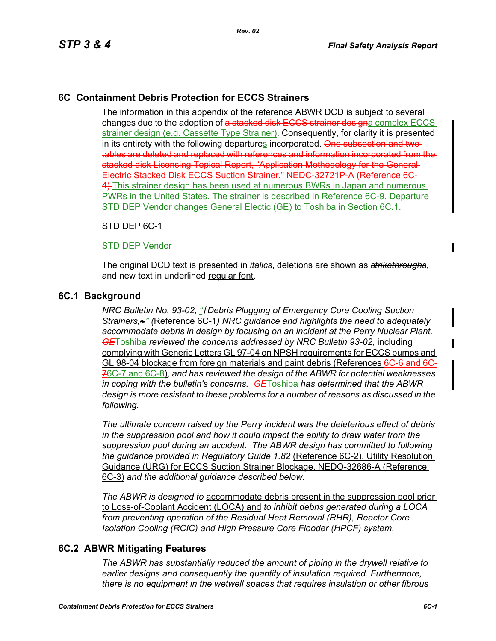# **6C Containment Debris Protection for ECCS Strainers**

The information in this appendix of the reference ABWR DCD is subject to several changes due to the adoption of a stacked disk ECCS strainer designa complex ECCS strainer design (e.g. Cassette Type Strainer). Consequently, for clarity it is presented in its entirety with the following departures incorporated. One subsection and twotables are deleted and replaced with references and information incorporated from the stacked disk Licensing Topical Report, "Application Methodology for the General Electric Stacked Disk ECCS Suction Strainer," NEDC-32721P-A (Reference 6C-4).This strainer design has been used at numerous BWRs in Japan and numerous PWRs in the United States. The strainer is described in Reference 6C-9. Departure STD DEP Vendor changes General Electic (GE) to Toshiba in Section 6C.1.

STD DEP 6C-1

## STD DEP Vendor

The original DCD text is presented in *italics*, deletions are shown as *strikethroughs*, and new text in underlined regular font.

# **6C.1 Background**

*NRC Bulletin No. 93-02, "*ƒ*Debris Plugging of Emergency Core Cooling Suction Strainers,*≈*" (*Reference 6C-1*) NRC guidance and highlights the need to adequately accommodate debris in design by focusing on an incident at the Perry Nuclear Plant. GE*Toshiba *reviewed the concerns addressed by NRC Bulletin 93-02*, including complying with Generic Letters GL 97-04 on NPSH requirements for ECCS pumps and GL 98-04 blockage from foreign materials and paint debris (References 6C-6 and 6C-76C-7 and 6C-8)*, and has reviewed the design of the ABWR for potential weaknesses in coping with the bulletin's concerns. GE*Toshiba *has determined that the ABWR design is more resistant to these problems for a number of reasons as discussed in the following.* 

*The ultimate concern raised by the Perry incident was the deleterious effect of debris in the suppression pool and how it could impact the ability to draw water from the suppression pool during an accident. The ABWR design has committed to following the guidance provided in Regulatory Guide 1.82* (Reference 6C-2), Utility Resolution Guidance (URG) for ECCS Suction Strainer Blockage, NEDO-32686-A (Reference 6C-3) *and the additional guidance described below.* 

*The ABWR is designed to* accommodate debris present in the suppression pool prior to Loss-of-Coolant Accident (LOCA) and *to inhibit debris generated during a LOCA from preventing operation of the Residual Heat Removal (RHR), Reactor Core Isolation Cooling (RCIC) and High Pressure Core Flooder (HPCF) system.* 

# **6C.2 ABWR Mitigating Features**

*The ABWR has substantially reduced the amount of piping in the drywell relative to earlier designs and consequently the quantity of insulation required. Furthermore, there is no equipment in the wetwell spaces that requires insulation or other fibrous*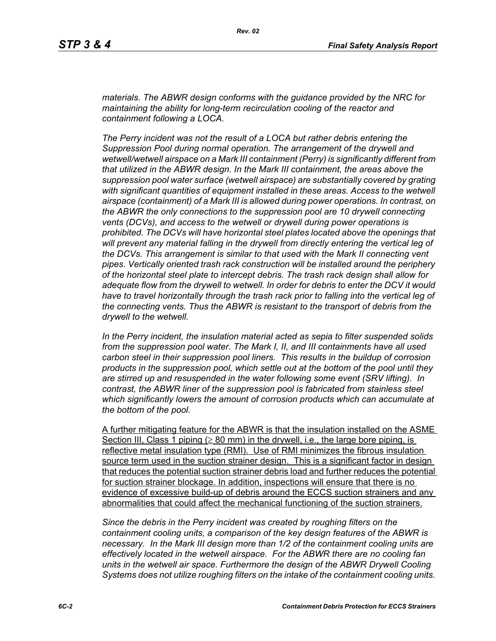*materials. The ABWR design conforms with the guidance provided by the NRC for maintaining the ability for long-term recirculation cooling of the reactor and containment following a LOCA.* 

*The Perry incident was not the result of a LOCA but rather debris entering the Suppression Pool during normal operation. The arrangement of the drywell and wetwell/wetwell airspace on a Mark III containment (Perry) is significantly different from that utilized in the ABWR design. In the Mark III containment, the areas above the suppression pool water surface (wetwell airspace) are substantially covered by grating with significant quantities of equipment installed in these areas. Access to the wetwell airspace (containment) of a Mark III is allowed during power operations. In contrast, on the ABWR the only connections to the suppression pool are 10 drywell connecting vents (DCVs), and access to the wetwell or drywell during power operations is prohibited. The DCVs will have horizontal steel plates located above the openings that will prevent any material falling in the drywell from directly entering the vertical leg of the DCVs. This arrangement is similar to that used with the Mark II connecting vent pipes. Vertically oriented trash rack construction will be installed around the periphery of the horizontal steel plate to intercept debris. The trash rack design shall allow for adequate flow from the drywell to wetwell. In order for debris to enter the DCV it would have to travel horizontally through the trash rack prior to falling into the vertical leg of the connecting vents. Thus the ABWR is resistant to the transport of debris from the drywell to the wetwell.*

*In the Perry incident, the insulation material acted as sepia to filter suspended solids from the suppression pool water. The Mark I, II, and III containments have all used carbon steel in their suppression pool liners. This results in the buildup of corrosion products in the suppression pool, which settle out at the bottom of the pool until they are stirred up and resuspended in the water following some event (SRV lifting). In contrast, the ABWR liner of the suppression pool is fabricated from stainless steel which significantly lowers the amount of corrosion products which can accumulate at the bottom of the pool.* 

A further mitigating feature for the ABWR is that the insulation installed on the ASME Section III, Class 1 piping ( $\geq 80$  mm) in the drywell, i.e., the large bore piping, is reflective metal insulation type (RMI). Use of RMI minimizes the fibrous insulation source term used in the suction strainer design. This is a significant factor in design that reduces the potential suction strainer debris load and further reduces the potential for suction strainer blockage. In addition, inspections will ensure that there is no evidence of excessive build-up of debris around the ECCS suction strainers and any abnormalities that could affect the mechanical functioning of the suction strainers.

*Since the debris in the Perry incident was created by roughing filters on the containment cooling units, a comparison of the key design features of the ABWR is necessary. In the Mark III design more than 1/2 of the containment cooling units are effectively located in the wetwell airspace. For the ABWR there are no cooling fan units in the wetwell air space. Furthermore the design of the ABWR Drywell Cooling Systems does not utilize roughing filters on the intake of the containment cooling units.*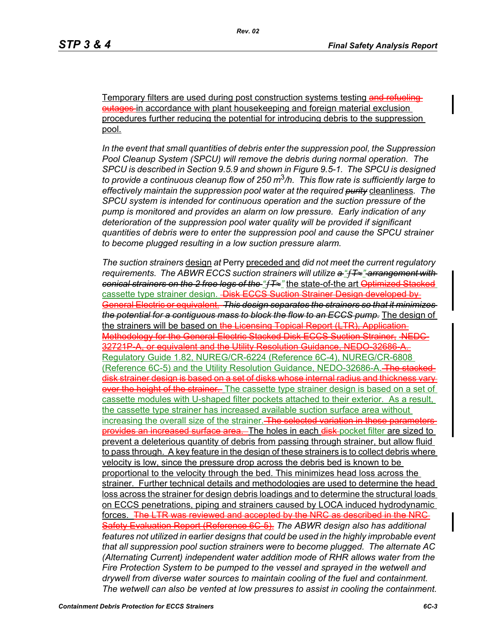Temporary filters are used during post construction systems testing and refueling outages in accordance with plant housekeeping and foreign material exclusion procedures further reducing the potential for introducing debris to the suppression pool.

*In the event that small quantities of debris enter the suppression pool, the Suppression Pool Cleanup System (SPCU) will remove the debris during normal operation. The SPCU is described in Section 9.5.9 and shown in Figure 9.5-1. The SPCU is designed to provide a continuous cleanup flow of 250 m*3*/h. This flow rate is sufficiently large to effectively maintain the suppression pool water at the required purity* cleanliness*. The SPCU system is intended for continuous operation and the suction pressure of the pump is monitored and provides an alarm on low pressure. Early indication of any deterioration of the suppression pool water quality will be provided if significant quantities of debris were to enter the suppression pool and cause the SPCU strainer to become plugged resulting in a low suction pressure alarm.* 

*The suction strainers* design *at* Perry preceded and *did not meet the current regulatory requirements. The ABWR ECCS suction strainers will utilize a "*ƒ*T*≈*" arrangement with conical strainers on the 2 free legs of the "*ƒ*T*≈*"* the state-of-the art Optimized Stacked cassette type strainer design. Disk ECCS Suction Strainer Design developed by General Electric or equivalent. *This design separates the strainers so that it minimizes the potential for a contiguous mass to block the flow to an ECCS pump.* The design of the strainers will be based on the Licensing Topical Report (LTR). Application-Methodology for the General Electric Stacked Disk ECCS Suction Strainer, NEDC-32721P-A, or equivalent and the Utility Resolution Guidance, NEDO-32686-A. Regulatory Guide 1.82, NUREG/CR-6224 (Reference 6C-4), NUREG/CR-6808 (Reference 6C-5) and the Utility Resolution Guidance, NEDO-32686-A. The stack disk strainer design is based on a set of disks whose internal radius and thickness vary over the height of the strainer. The cassette type strainer design is based on a set of cassette modules with U-shaped filter pockets attached to their exterior. As a result, the cassette type strainer has increased available suction surface area without increasing the overall size of the strainer. The selected variation in these parame provides an increased surface area. The holes in each disk-pocket filter are sized to prevent a deleterious quantity of debris from passing through strainer, but allow fluid to pass through. A key feature in the design of these strainers is to collect debris where velocity is low, since the pressure drop across the debris bed is known to be proportional to the velocity through the bed. This minimizes head loss across the strainer. Further technical details and methodologies are used to determine the head loss across the strainer for design debris loadings and to determine the structural loads on ECCS penetrations, piping and strainers caused by LOCA induced hydrodynamic forces. The LTR was reviewed and accepted by the NRC as described in the NRC-Safety Evaluation Report (Reference 6C-5). *The ABWR design also has additional features not utilized in earlier designs that could be used in the highly improbable event that all suppression pool suction strainers were to become plugged. The alternate AC (Alternating Current) independent water addition mode of RHR allows water from the Fire Protection System to be pumped to the vessel and sprayed in the wetwell and drywell from diverse water sources to maintain cooling of the fuel and containment. The wetwell can also be vented at low pressures to assist in cooling the containment.*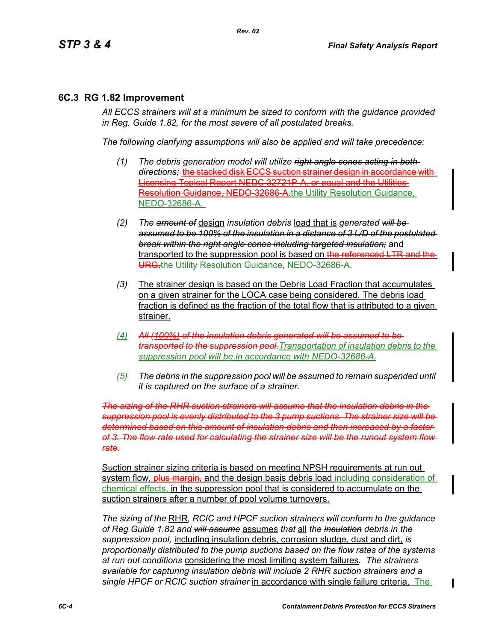# **6C.3 RG 1.82 Improvement**

*All ECCS strainers will at a minimum be sized to conform with the guidance provided in Reg. Guide 1.82, for the most severe of all postulated breaks.*

*The following clarifying assumptions will also be applied and will take precedence:*

- *(1) The debris generation model will utilize right angle cones acting in both directions;* the stacked disk ECCS suction strainer design in accordance with Licensing Topical Report NEDC 32721P-A, or equal and the Utilities Resolution Guidance, NEDO 32686 A.the Utility Resolution Guidance, NEDO-32686-A.
- *(2) The amount of* design *insulation debris* load that is *generated will be assumed to be 100% of the insulation in a distance of 3 L/D of the postulated break within the right angle cones including targeted insulation;* and transported to the suppression pool is based on the referenced LTR and the URG-the Utility Resolution Guidance, NEDO-32686-A.
- *(3)* The strainer design is based on the Debris Load Fraction that accumulates on a given strainer for the LOCA case being considered. The debris load fraction is defined as the fraction of the total flow that is attributed to a given strainer.
- *(4) All (100%) of the insulation debris generated will be assumed to be transported to the suppression pool.Transportation of insulation debris to the suppression pool will be in accordance with NEDO-32686-A.*
- *(5) The debris in the suppression pool will be assumed to remain suspended until it is captured on the surface of a strainer.*

*The sizing of the RHR suction strainers will assume that the insulation debris in the suppression pool is evenly distributed to the 3 pump suctions. The strainer size will be determined based on this amount of insulation debris and then increased by a factor of 3. The flow rate used for calculating the strainer size will be the runout system flow rate.*

Suction strainer sizing criteria is based on meeting NPSH requirements at run out system flow, **plus margin,** and the design basis debris load including consideration of chemical effects, in the suppression pool that is considered to accumulate on the suction strainers after a number of pool volume turnovers.

*The sizing of the* RHR*, RCIC and HPCF suction strainers will conform to the guidance of Reg Guide 1.82 and will assume* assumes *that* all *the insulation debris in the suppression pool,* including insulation debris, corrosion sludge, dust and dirt, *is proportionally distributed to the pump suctions based on the flow rates of the systems at run out conditions* considering the most limiting system failures*. The strainers available for capturing insulation debris will include 2 RHR suction strainers and a single HPCF or RCIC suction strainer* in accordance with single failure criteria. The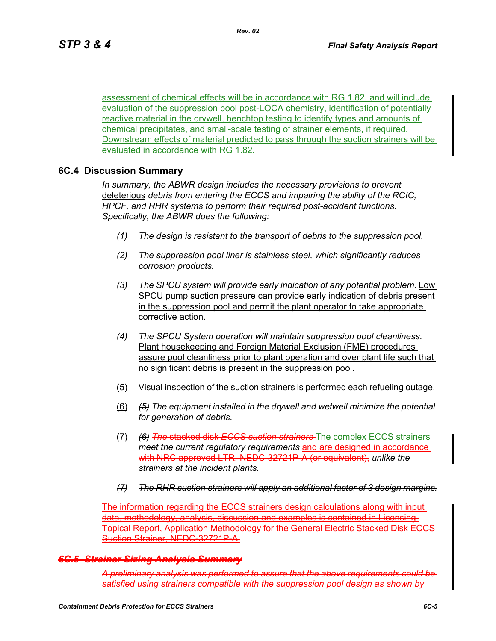assessment of chemical effects will be in accordance with RG 1.82, and will include evaluation of the suppression pool post-LOCA chemistry, identification of potentially reactive material in the drywell, benchtop testing to identify types and amounts of chemical precipitates, and small-scale testing of strainer elements, if required. Downstream effects of material predicted to pass through the suction strainers will be evaluated in accordance with RG 1.82.

## **6C.4 Discussion Summary**

*In summary, the ABWR design includes the necessary provisions to prevent*  deleterious *debris from entering the ECCS and impairing the ability of the RCIC, HPCF, and RHR systems to perform their required post-accident functions. Specifically, the ABWR does the following:*

- *(1) The design is resistant to the transport of debris to the suppression pool.*
- *(2) The suppression pool liner is stainless steel, which significantly reduces corrosion products.*
- *(3) The SPCU system will provide early indication of any potential problem.* Low SPCU pump suction pressure can provide early indication of debris present in the suppression pool and permit the plant operator to take appropriate corrective action.
- *(4) The SPCU System operation will maintain suppression pool cleanliness.*  Plant housekeeping and Foreign Material Exclusion (FME) procedures assure pool cleanliness prior to plant operation and over plant life such that no significant debris is present in the suppression pool.
- (5) Visual inspection of the suction strainers is performed each refueling outage.
- (6) *(5) The equipment installed in the drywell and wetwell minimize the potential for generation of debris.*
- (7) *(6) The* stacked disk *ECCS suction strainers* The complex ECCS strainers meet the current regulatory requirements and are designed in accordance with NRC approved LTR, NEDC-32721P-A (or equivalent), *unlike the strainers at the incident plants.*
- *(7) The RHR suction strainers will apply an additional factor of 3 design margins.*

The information regarding the ECCS strainers design calculations along with input ethodology, analysis, discussion and examples is contained in Licensing-Topical Report, Application Methodology for the General Electric Stacked Disk ECCS Suction Strainer, NEDC 32721P-A

### *6C.5 Strainer Sizing Analysis Summary*

*A preliminary analysis was performed to assure that the above requirements could be satisfied using strainers compatible with the suppression pool design as shown by*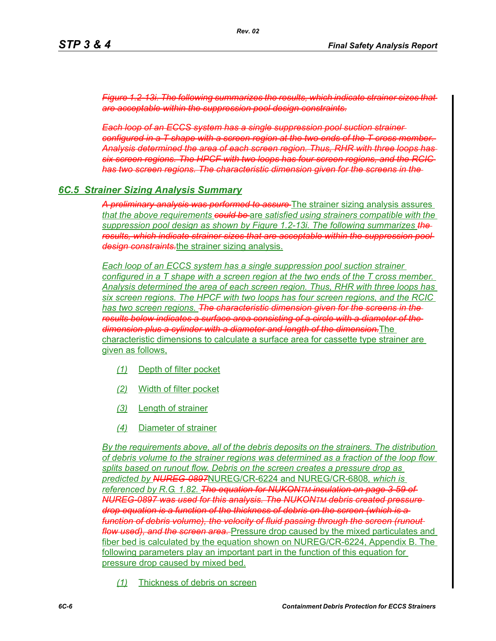*Figure 1.2-13i. The following summarizes the results, which indicate strainer sizes that are acceptable within the suppression pool design constraints.*

*Each loop of an ECCS system has a single suppression pool suction strainer configured in a T shape with a screen region at the two ends of the T cross member. Analysis determined the area of each screen region. Thus, RHR with three loops has six screen regions. The HPCF with two loops has four screen regions, and the RCIC has two screen regions. The characteristic dimension given for the screens in the* 

## *6C.5 Strainer Sizing Analysis Summary*

*A preliminary analysis was performed to assure* The strainer sizing analysis assures *that the above requirements could be* are *satisfied using strainers compatible with the suppression pool design as shown by Figure 1.2-13i. The following summarizes the results, which indicate strainer sizes that are acceptable within the suppression pool design constraints.*the strainer sizing analysis.

*Each loop of an ECCS system has a single suppression pool suction strainer configured in a T shape with a screen region at the two ends of the T cross member. Analysis determined the area of each screen region. Thus, RHR with three loops has six screen regions. The HPCF with two loops has four screen regions, and the RCIC has two screen regions. The characteristic dimension given for the screens in the results below indicates a surface area consisting of a circle with a diameter of the dimension plus a cylinder with a diameter and length of the dimension.*The characteristic dimensions to calculate a surface area for cassette type strainer are given as follows,

- *(1)* Depth of filter pocket
- *(2)* Width of filter pocket
- *(3)* Length of strainer
- *(4)* Diameter of strainer

*By the requirements above, all of the debris deposits on the strainers. The distribution of debris volume to the strainer regions was determined as a fraction of the loop flow splits based on runout flow. Debris on the screen creates a pressure drop as predicted by NUREG-0897*NUREG/CR-6224 and NUREG/CR-6808*, which is referenced by R.G. 1.82. The equation for NUKONTM insulation on page 3-59 of NUREG-0897 was used for this analysis. The NUKONTM debris created pressure drop equation is a function of the thickness of debris on the screen (which is a function of debris volume), the velocity of fluid passing through the screen (runout flow used), and the screen area.* Pressure drop caused by the mixed particulates and fiber bed is calculated by the equation shown on NUREG/CR-6224, Appendix B. The following parameters play an important part in the function of this equation for pressure drop caused by mixed bed.

*(1)* Thickness of debris on screen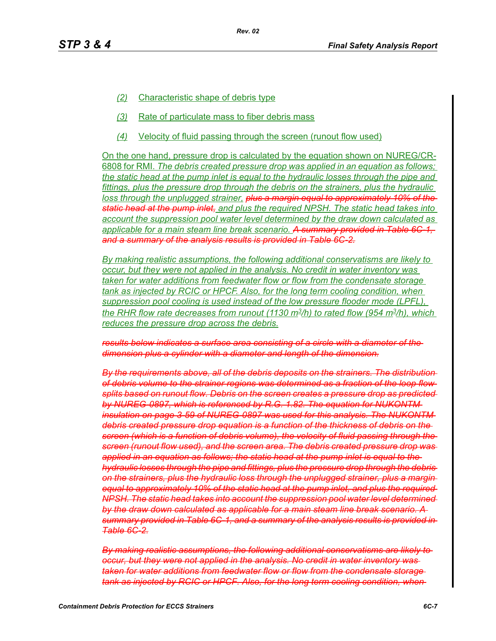- *Rev. 02*
- *(2)* Characteristic shape of debris type
- *(3)* Rate of particulate mass to fiber debris mass
- *(4)* Velocity of fluid passing through the screen (runout flow used)

On the one hand, pressure drop is calculated by the equation shown on NUREG/CR-6808 for RMI. *The debris created pressure drop was applied in an equation as follows; the static head at the pump inlet is equal to the hydraulic losses through the pipe and fittings, plus the pressure drop through the debris on the strainers, plus the hydraulic loss through the unplugged strainer, plus a margin equal to approximately 10% of the static head at the pump inlet, and plus the required NPSH. The static head takes into account the suppression pool water level determined by the draw down calculated as applicable for a main steam line break scenario. A summary provided in Table 6C-1, and a summary of the analysis results is provided in Table 6C-2.*

*By making realistic assumptions, the following additional conservatisms are likely to occur, but they were not applied in the analysis. No credit in water inventory was taken for water additions from feedwater flow or flow from the condensate storage tank as injected by RCIC or HPCF. Also, for the long term cooling condition, when suppression pool cooling is used instead of the low pressure flooder mode (LPFL), the RHR flow rate decreases from runout (1130 m3/h) to rated flow (954 m3/h), which reduces the pressure drop across the debris.*

*results below indicates a surface area consisting of a circle with a diameter of the dimension plus a cylinder with a diameter and length of the dimension.*

*By the requirements above, all of the debris deposits on the strainers. The distribution of debris volume to the strainer regions was determined as a fraction of the loop flow splits based on runout flow. Debris on the screen creates a pressure drop as predicted by NUREG-0897, which is referenced by R.G. 1.82. The equation for NUKONTM insulation on page 3-59 of NUREG-0897 was used for this analysis. The NUKONTM debris created pressure drop equation is a function of the thickness of debris on the screen (which is a function of debris volume), the velocity of fluid passing through the screen (runout flow used), and the screen area. The debris created pressure drop was applied in an equation as follows; the static head at the pump inlet is equal to the hydraulic losses through the pipe and fittings, plus the pressure drop through the debris on the strainers, plus the hydraulic loss through the unplugged strainer, plus a margin equal to approximately 10% of the static head at the pump inlet, and plus the required NPSH. The static head takes into account the suppression pool water level determined by the draw down calculated as applicable for a main steam line break scenario. A summary provided in Table 6C-1, and a summary of the analysis results is provided in Table 6C-2.*

*By making realistic assumptions, the following additional conservatisms are likely to occur, but they were not applied in the analysis. No credit in water inventory was taken for water additions from feedwater flow or flow from the condensate storage tank as injected by RCIC or HPCF. Also, for the long term cooling condition, when*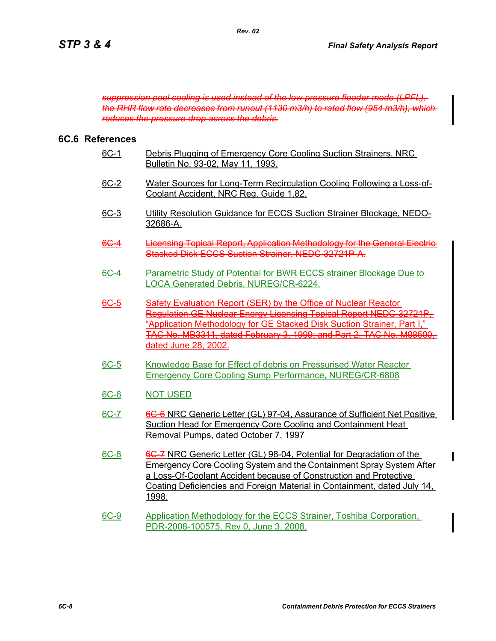*suppression pool cooling is used instead of the low pressure flooder mode (LPFL), the RHR flow rate decreases from runout (1130 m3/h) to rated flow (954 m3/h), which reduces the pressure drop across the debris.*

# **6C.6 References**

| 6C-1        | Debris Plugging of Emergency Core Cooling Suction Strainers, NRC<br>Bulletin No. 93-02, May 11, 1993.                                                                                                                                                                                                         |
|-------------|---------------------------------------------------------------------------------------------------------------------------------------------------------------------------------------------------------------------------------------------------------------------------------------------------------------|
| 6C-2        | Water Sources for Long-Term Recirculation Cooling Following a Loss-of-<br>Coolant Accident, NRC Reg. Guide 1.82.                                                                                                                                                                                              |
| <u>6C-3</u> | Utility Resolution Guidance for ECCS Suction Strainer Blockage, NEDO-<br>32686-A.                                                                                                                                                                                                                             |
| <u>6C 4</u> | Licensing Topical Report, Application Methodology for the General Electric<br>Stacked Disk ECCS Suction Strainer, NEDC 32721P A.                                                                                                                                                                              |
| <u>6C-4</u> | Parametric Study of Potential for BWR ECCS strainer Blockage Due to<br>LOCA Generated Debris, NUREG/CR-6224.                                                                                                                                                                                                  |
| 6C 5        | Safety Evaluation Report (SER) by the Office of Nuclear Reactor-<br>aulation GE Nuclear Energy Licensing Topical Report NEDC 3272<br>ion Methodology for GE Stacked Disk Suction<br>TAC No. MB3311, dated February 3, 1999; and Part 2, TAC No. M9850<br>dated June 28, 2002.                                 |
| $6C-5$      | Knowledge Base for Effect of debris on Pressurised Water Reacter<br><b>Emergency Core Cooling Sump Performance, NUREG/CR-6808</b>                                                                                                                                                                             |
| 6C-6        | <b>NOT USED</b>                                                                                                                                                                                                                                                                                               |
| 6C-7        | 6G-6 NRC Generic Letter (GL) 97-04, Assurance of Sufficient Net Positive<br>Suction Head for Emergency Core Cooling and Containment Heat<br>Removal Pumps, dated October 7, 1997                                                                                                                              |
| 6C-8        | 6C-7 NRC Generic Letter (GL) 98-04, Potential for Degradation of the<br><b>Emergency Core Cooling System and the Containment Spray System After</b><br>a Loss-Of-Coolant Accident because of Construction and Protective<br>Coating Deficiencies and Foreign Material in Containment, dated July 14,<br>1998. |
| <u>6C-9</u> | Application Methodology for the ECCS Strainer, Toshiba Corporation,<br>PDR-2008-100575, Rev 0, June 3, 2008.                                                                                                                                                                                                  |